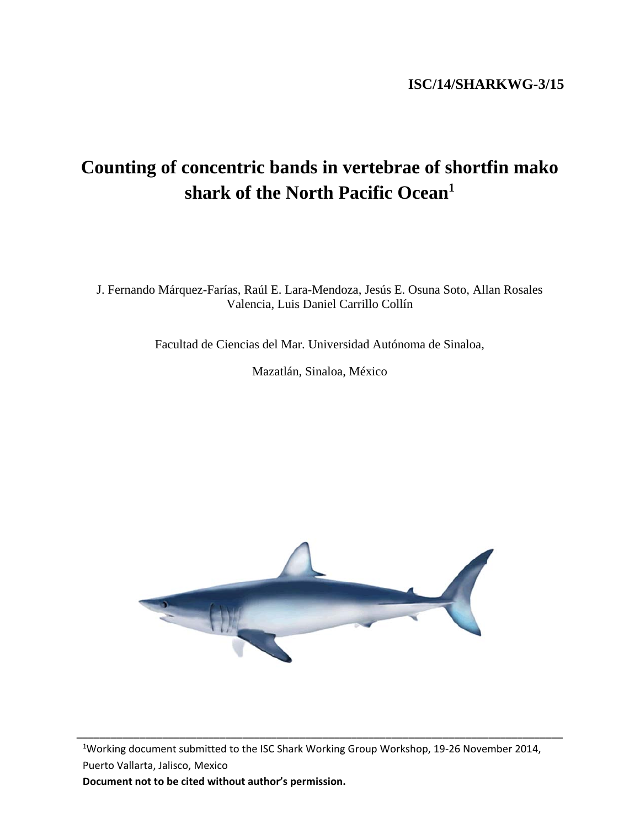# **ISC/14/SHARKWG-3/15**

# **Counting of concentric bands in vertebrae of shortfin mako shark of the North Pacific Ocean1**

J. Fernando Márquez-Farías, Raúl E. Lara-Mendoza, Jesús E. Osuna Soto, Allan Rosales Valencia, Luis Daniel Carrillo Collín

Facultad de Ciencias del Mar. Universidad Autónoma de Sinaloa,

Mazatlán, Sinaloa, México



<sup>1</sup>Working document submitted to the ISC Shark Working Group Workshop, 19-26 November 2014, Puerto Vallarta, Jalisco, Mexico

\_\_\_\_\_\_\_\_\_\_\_\_\_\_\_\_\_\_\_\_\_\_\_\_\_\_\_\_\_\_\_\_\_\_\_\_\_\_\_\_\_\_\_\_\_\_\_\_\_\_\_\_\_\_\_\_\_\_\_\_\_\_\_\_\_\_\_\_\_\_\_\_\_\_\_\_\_\_\_\_\_\_\_\_\_

**Document not to be cited without author's permission.**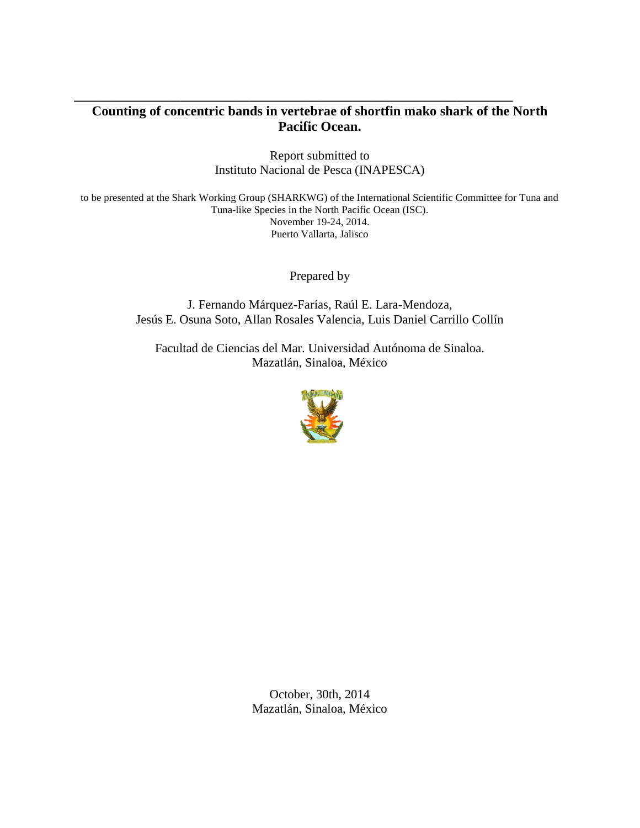# **Counting of concentric bands in vertebrae of shortfin mako shark of the North Pacific Ocean.**

**\_\_\_\_\_\_\_\_\_\_\_\_\_\_\_\_\_\_\_\_\_\_\_\_\_\_\_\_\_\_\_\_\_\_\_\_\_\_\_\_\_\_\_\_\_\_\_\_\_\_\_\_\_\_\_\_\_\_\_\_\_\_\_\_\_\_\_\_\_\_**

Report submitted to Instituto Nacional de Pesca (INAPESCA)

to be presented at the Shark Working Group (SHARKWG) of the International Scientific Committee for Tuna and Tuna-like Species in the North Pacific Ocean (ISC). November 19-24, 2014. Puerto Vallarta, Jalisco

Prepared by

J. Fernando Márquez-Farías, Raúl E. Lara-Mendoza, Jesús E. Osuna Soto, Allan Rosales Valencia, Luis Daniel Carrillo Collín

Facultad de Ciencias del Mar. Universidad Autónoma de Sinaloa. Mazatlán, Sinaloa, México



October, 30th, 2014 Mazatlán, Sinaloa, México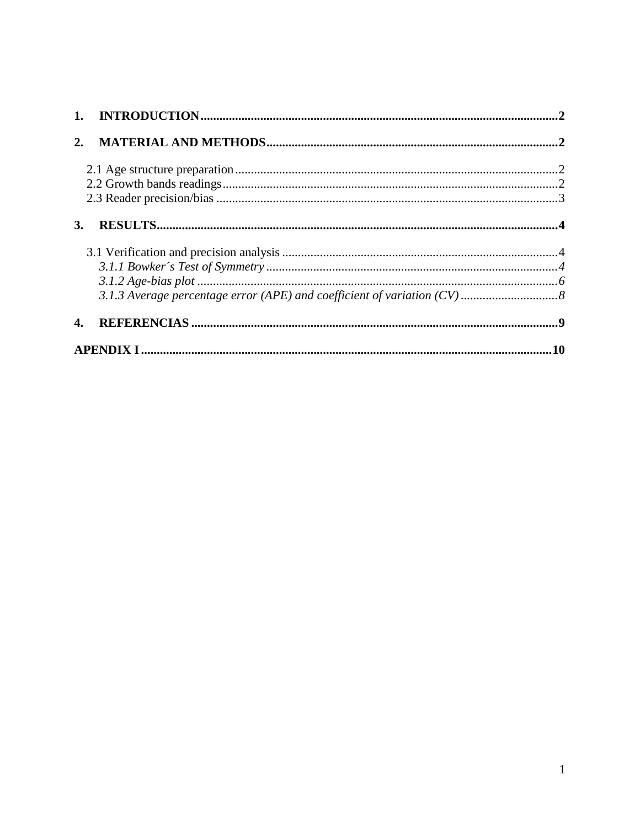| <b>3.</b> |  |
|-----------|--|
|           |  |
|           |  |
|           |  |
|           |  |
|           |  |
|           |  |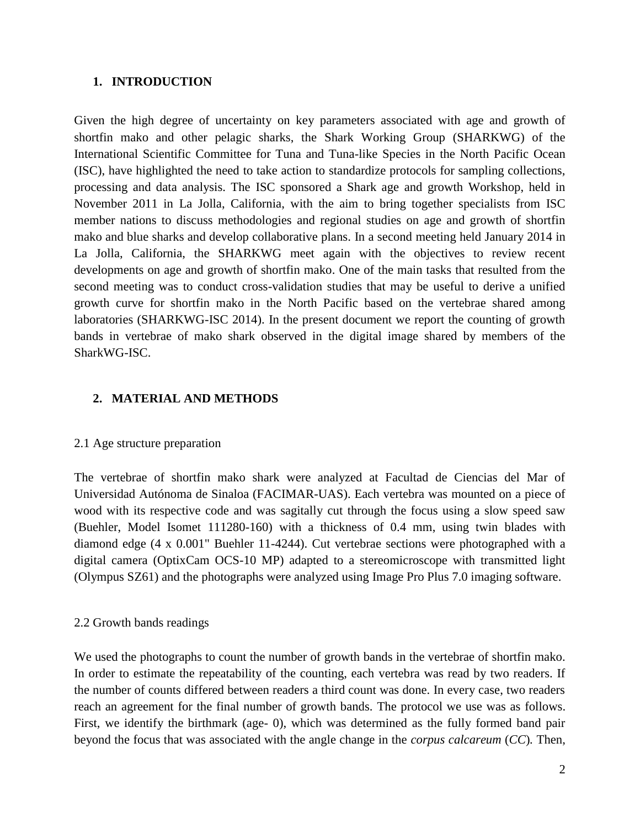#### <span id="page-3-0"></span>**1. INTRODUCTION**

Given the high degree of uncertainty on key parameters associated with age and growth of shortfin mako and other pelagic sharks, the Shark Working Group (SHARKWG) of the International Scientific Committee for Tuna and Tuna-like Species in the North Pacific Ocean (ISC), have highlighted the need to take action to standardize protocols for sampling collections, processing and data analysis. The ISC sponsored a Shark age and growth Workshop, held in November 2011 in La Jolla, California, with the aim to bring together specialists from ISC member nations to discuss methodologies and regional studies on age and growth of shortfin mako and blue sharks and develop collaborative plans. In a second meeting held January 2014 in La Jolla, California, the SHARKWG meet again with the objectives to review recent developments on age and growth of shortfin mako. One of the main tasks that resulted from the second meeting was to conduct cross-validation studies that may be useful to derive a unified growth curve for shortfin mako in the North Pacific based on the vertebrae shared among laboratories (SHARKWG-ISC 2014). In the present document we report the counting of growth bands in vertebrae of mako shark observed in the digital image shared by members of the SharkWG-ISC.

## <span id="page-3-1"></span>**2. MATERIAL AND METHODS**

## <span id="page-3-2"></span>2.1 Age structure preparation

The vertebrae of shortfin mako shark were analyzed at Facultad de Ciencias del Mar of Universidad Autónoma de Sinaloa (FACIMAR-UAS). Each vertebra was mounted on a piece of wood with its respective code and was sagitally cut through the focus using a slow speed saw (Buehler, Model Isomet 111280-160) with a thickness of 0.4 mm, using twin blades with diamond edge (4 x 0.001" Buehler 11-4244). Cut vertebrae sections were photographed with a digital camera (OptixCam OCS-10 MP) adapted to a stereomicroscope with transmitted light (Olympus SZ61) and the photographs were analyzed using Image Pro Plus 7.0 imaging software.

#### <span id="page-3-3"></span>2.2 Growth bands readings

We used the photographs to count the number of growth bands in the vertebrae of shortfin mako. In order to estimate the repeatability of the counting, each vertebra was read by two readers. If the number of counts differed between readers a third count was done. In every case, two readers reach an agreement for the final number of growth bands. The protocol we use was as follows. First, we identify the birthmark (age- 0), which was determined as the fully formed band pair beyond the focus that was associated with the angle change in the *corpus calcareum* (*CC*)*.* Then,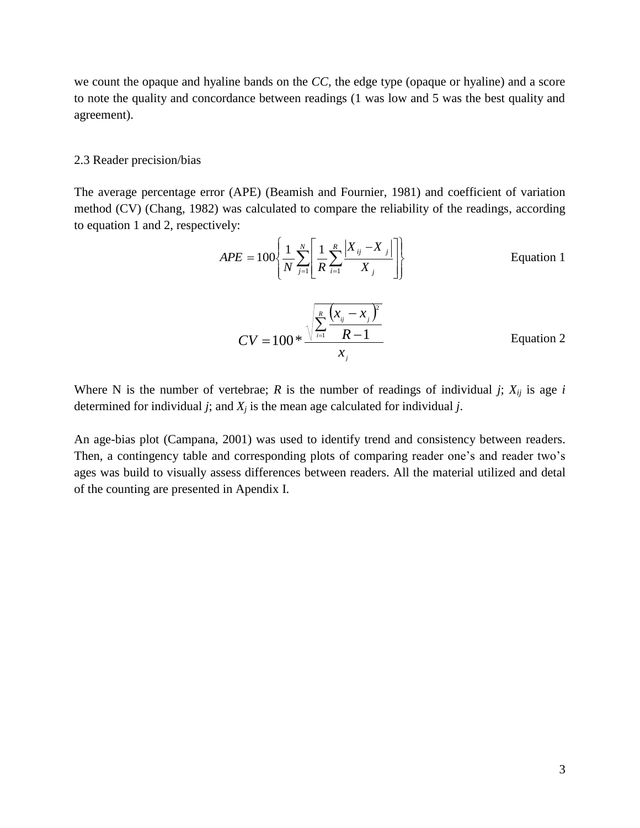we count the opaque and hyaline bands on the *CC,* the edge type (opaque or hyaline) and a score to note the quality and concordance between readings (1 was low and 5 was the best quality and agreement).

#### <span id="page-4-0"></span>2.3 Reader precision/bias

The average percentage error (APE) (Beamish and Fournier, 1981) and coefficient of variation method (CV) (Chang, 1982) was calculated to compare the reliability of the readings, according to equation 1 and 2, respectively:

$$
APE = 100 \left\{ \frac{1}{N} \sum_{j=1}^{N} \left[ \frac{1}{R} \sum_{i=1}^{R} \frac{|X_{ij} - X_j|}{|X_j|} \right] \right\}
$$
 Equation 1  

$$
CV = 100 * \frac{\sqrt{\sum_{i=1}^{R} \frac{(x_{ij} - x_j)^2}{R - 1}}}{x_j}
$$
Equation 2

Where N is the number of vertebrae; *R* is the number of readings of individual *j*;  $X_{ij}$  is age *i* determined for individual *j*; and  $X_j$  is the mean age calculated for individual *j*.

An age-bias plot (Campana, 2001) was used to identify trend and consistency between readers. Then, a contingency table and corresponding plots of comparing reader one's and reader two's ages was build to visually assess differences between readers. All the material utilized and detal of the counting are presented in Apendix I.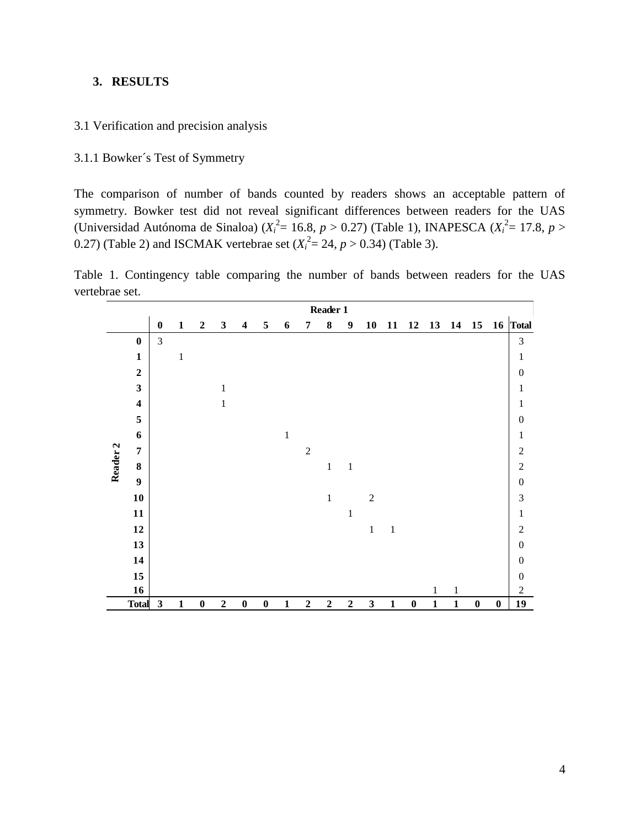## <span id="page-5-0"></span>**3. RESULTS**

#### <span id="page-5-1"></span>3.1 Verification and precision analysis

## <span id="page-5-2"></span>3.1.1 Bowker´s Test of Symmetry

The comparison of number of bands counted by readers shows an acceptable pattern of symmetry. Bowker test did not reveal significant differences between readers for the UAS (Universidad Autónoma de Sinaloa)  $(X_i^2 = 16.8, p > 0.27)$  (Table 1), INAPESCA  $(X_i^2 = 17.8, p >$ 0.27) (Table 2) and ISCMAK vertebrae set  $(X_i^2 = 24, p > 0.34)$  (Table 3).

Table 1. Contingency table comparing the number of bands between readers for the UAS vertebrae set.

|                     |                         |                  |              |                  |                  |                         |                  |              |             | Reader 1    |                  |                |              |                  |              |              |          |          |                  |
|---------------------|-------------------------|------------------|--------------|------------------|------------------|-------------------------|------------------|--------------|-------------|-------------|------------------|----------------|--------------|------------------|--------------|--------------|----------|----------|------------------|
|                     |                         | $\boldsymbol{0}$ | $\mathbf{1}$ | $\overline{2}$   | $\mathbf{3}$     | $\overline{\mathbf{4}}$ | 5                | 6            | 7           | 8           | $\boldsymbol{9}$ | 10             | 11           | 12               | 13           | 14           | 15       | 16       | Total            |
|                     | $\bf{0}$                | 3                |              |                  |                  |                         |                  |              |             |             |                  |                |              |                  |              |              |          |          | $\mathfrak{Z}$   |
|                     | $\mathbf 1$             |                  | $\mathbf{1}$ |                  |                  |                         |                  |              |             |             |                  |                |              |                  |              |              |          |          | $\mathbf{1}$     |
|                     | $\overline{2}$          |                  |              |                  |                  |                         |                  |              |             |             |                  |                |              |                  |              |              |          |          | $\boldsymbol{0}$ |
|                     | $\mathbf{3}$            |                  |              |                  | $\mathbf{1}$     |                         |                  |              |             |             |                  |                |              |                  |              |              |          |          | $\,1\,$          |
|                     | $\overline{\mathbf{4}}$ |                  |              |                  | $\mathbf 1$      |                         |                  |              |             |             |                  |                |              |                  |              |              |          |          | $\,1\,$          |
|                     | $\sqrt{5}$              |                  |              |                  |                  |                         |                  |              |             |             |                  |                |              |                  |              |              |          |          | $\boldsymbol{0}$ |
|                     | 6                       |                  |              |                  |                  |                         |                  | $\,1\,$      |             |             |                  |                |              |                  |              |              |          |          | $\mathbf{1}$     |
|                     | $\overline{7}$          |                  |              |                  |                  |                         |                  |              | $\sqrt{2}$  |             |                  |                |              |                  |              |              |          |          | $\overline{c}$   |
| Reader <sub>2</sub> | $\bf 8$                 |                  |              |                  |                  |                         |                  |              |             | $\mathbf 1$ | $\,1\,$          |                |              |                  |              |              |          |          | $\overline{c}$   |
|                     | $\boldsymbol{9}$        |                  |              |                  |                  |                         |                  |              |             |             |                  |                |              |                  |              |              |          |          | $\boldsymbol{0}$ |
|                     | 10                      |                  |              |                  |                  |                         |                  |              |             | $\,1\,$     |                  | $\overline{2}$ |              |                  |              |              |          |          | 3                |
|                     | 11                      |                  |              |                  |                  |                         |                  |              |             |             | $\mathbf{1}$     |                |              |                  |              |              |          |          | $\,1\,$          |
|                     | 12                      |                  |              |                  |                  |                         |                  |              |             |             |                  | $\,1\,$        | $\,1\,$      |                  |              |              |          |          | $\overline{c}$   |
|                     | 13                      |                  |              |                  |                  |                         |                  |              |             |             |                  |                |              |                  |              |              |          |          | $\boldsymbol{0}$ |
|                     | 14                      |                  |              |                  |                  |                         |                  |              |             |             |                  |                |              |                  |              |              |          |          | $\boldsymbol{0}$ |
|                     | 15                      |                  |              |                  |                  |                         |                  |              |             |             |                  |                |              |                  |              |              |          |          | $\boldsymbol{0}$ |
|                     | 16                      |                  |              |                  |                  |                         |                  |              |             |             |                  |                |              |                  | $\mathbf{1}$ | $\mathbf{1}$ |          |          | $\mathfrak{2}$   |
|                     | <b>Total</b>            | $\mathbf{3}$     | $\mathbf 1$  | $\boldsymbol{0}$ | $\boldsymbol{2}$ | $\pmb{0}$               | $\boldsymbol{0}$ | $\mathbf{1}$ | $\mathbf 2$ | $\mathbf 2$ | $\overline{2}$   | $\mathbf{3}$   | $\mathbf{1}$ | $\boldsymbol{0}$ | $\mathbf 1$  | $\mathbf{1}$ | $\bf{0}$ | $\bf{0}$ | 19               |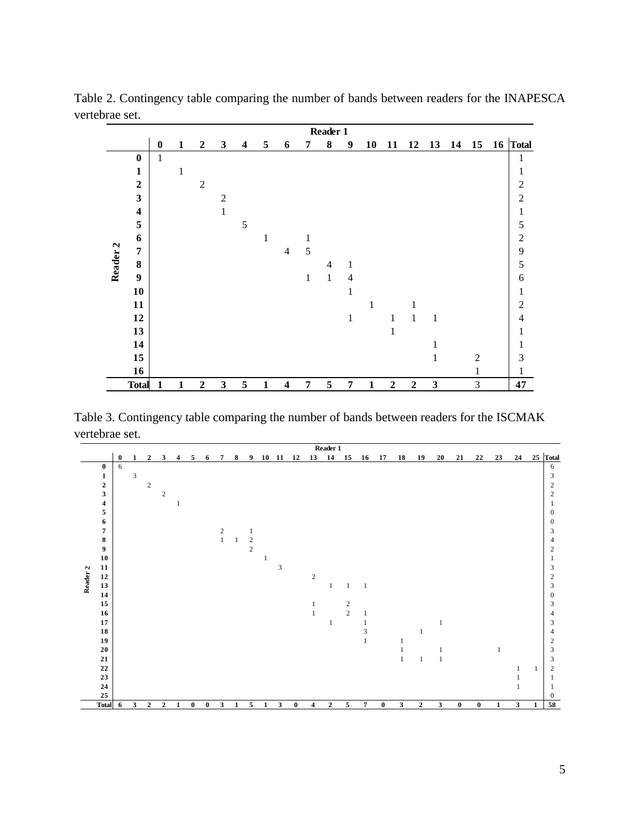|                     | brae set.               |              |              |                  |                |                         |              |                          |                | Reader 1       |                  |              |                  |                  |              |          |                |                |
|---------------------|-------------------------|--------------|--------------|------------------|----------------|-------------------------|--------------|--------------------------|----------------|----------------|------------------|--------------|------------------|------------------|--------------|----------|----------------|----------------|
|                     |                         | $\bf{0}$     | $\mathbf{1}$ | $\boldsymbol{2}$ | $\mathbf{3}$   | $\overline{\mathbf{4}}$ | 5            | 6                        | 7              | 8              | $\boldsymbol{9}$ | 10           | 11               | 12               |              | 13 14 15 |                | 16 Total       |
|                     | $\bf{0}$                | $\mathbf{1}$ |              |                  |                |                         |              |                          |                |                |                  |              |                  |                  |              |          |                | $\mathbf{1}$   |
|                     | $\mathbf{1}$            |              | 1            |                  |                |                         |              |                          |                |                |                  |              |                  |                  |              |          |                | $\mathbf{1}$   |
|                     | $\overline{2}$          |              |              | $\overline{2}$   |                |                         |              |                          |                |                |                  |              |                  |                  |              |          |                | $\overline{c}$ |
|                     | $\mathbf{3}$            |              |              |                  | $\overline{2}$ |                         |              |                          |                |                |                  |              |                  |                  |              |          |                | $\overline{c}$ |
|                     | $\overline{\mathbf{4}}$ |              |              |                  | 1              |                         |              |                          |                |                |                  |              |                  |                  |              |          |                | $\,1$          |
|                     | 5                       |              |              |                  |                | 5                       |              |                          |                |                |                  |              |                  |                  |              |          |                | 5              |
|                     | 6                       |              |              |                  |                |                         | $\mathbf{1}$ |                          | 1              |                |                  |              |                  |                  |              |          |                | $\overline{c}$ |
| Reader <sub>2</sub> | $\overline{7}$          |              |              |                  |                |                         |              | $\overline{\mathcal{L}}$ | 5              |                |                  |              |                  |                  |              |          |                | 9              |
|                     | $\bf{8}$                |              |              |                  |                |                         |              |                          |                | $\overline{4}$ | 1                |              |                  |                  |              |          |                | 5              |
|                     | $\boldsymbol{9}$        |              |              |                  |                |                         |              |                          | $\mathbf{1}$   | $\mathbf{1}$   | 4                |              |                  |                  |              |          |                | 6              |
|                     | 10                      |              |              |                  |                |                         |              |                          |                |                | 1                |              |                  |                  |              |          |                | $\mathbf{1}$   |
|                     | 11                      |              |              |                  |                |                         |              |                          |                |                |                  | 1            |                  | 1                |              |          |                | $\overline{c}$ |
|                     | 12                      |              |              |                  |                |                         |              |                          |                |                | $\mathbf{1}$     |              | 1                | $\mathbf{1}$     | $\mathbf{1}$ |          |                | $\overline{4}$ |
|                     | 13                      |              |              |                  |                |                         |              |                          |                |                |                  |              | $\mathbf{1}$     |                  |              |          |                | 1              |
|                     | 14                      |              |              |                  |                |                         |              |                          |                |                |                  |              |                  |                  | 1            |          |                | 1              |
|                     | 15                      |              |              |                  |                |                         |              |                          |                |                |                  |              |                  |                  | $\mathbf{1}$ |          | $\mathfrak{2}$ | 3              |
|                     | 16                      |              |              |                  |                |                         |              |                          |                |                |                  |              |                  |                  |              |          | 1              | 1              |
|                     | <b>Total</b>            | $\mathbf{1}$ | $\mathbf{1}$ | $\boldsymbol{2}$ | $\mathbf{3}$   | 5                       | $\mathbf{1}$ | $\overline{\mathbf{4}}$  | $\overline{7}$ | 5              | $\pmb{7}$        | $\mathbf{1}$ | $\boldsymbol{2}$ | $\boldsymbol{2}$ | $\mathbf{3}$ |          | $\mathfrak{Z}$ | 47             |

Table 2. Contingency table comparing the number of bands between readers for the INAPESCA vertebrae set.

vertebrae set.

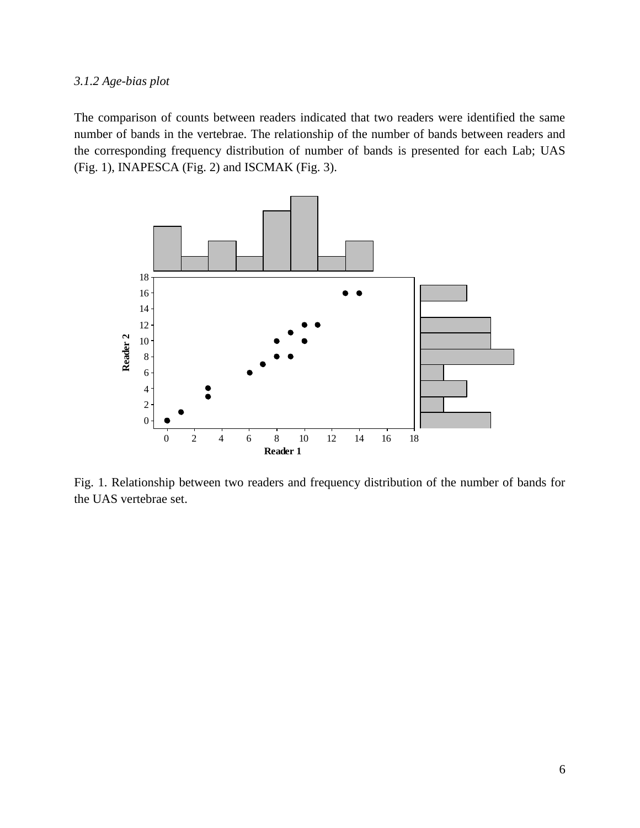#### <span id="page-7-0"></span>*3.1.2 Age-bias plot*

The comparison of counts between readers indicated that two readers were identified the same number of bands in the vertebrae. The relationship of the number of bands between readers and the corresponding frequency distribution of number of bands is presented for each Lab; UAS (Fig. 1), INAPESCA (Fig. 2) and ISCMAK (Fig. 3).



Fig. 1. Relationship between two readers and frequency distribution of the number of bands for the UAS vertebrae set.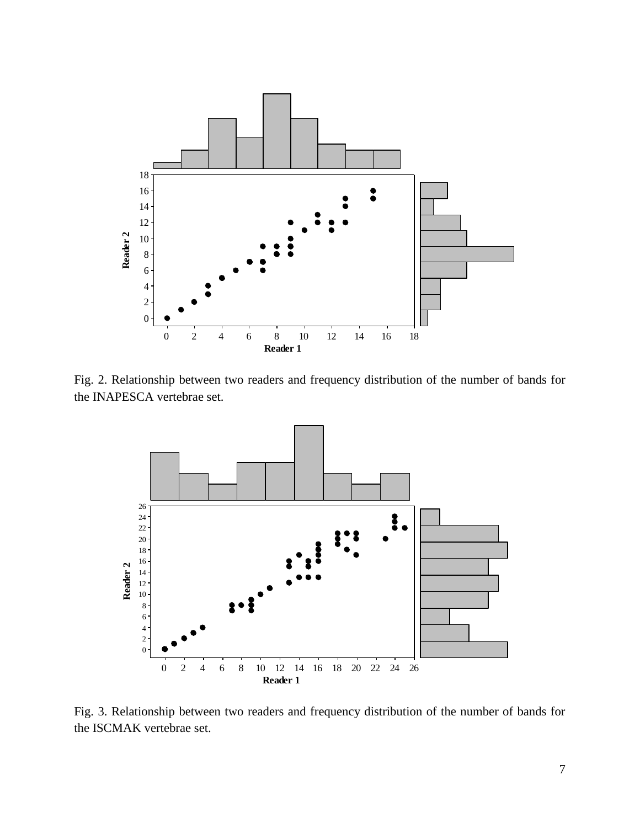

Fig. 2. Relationship between two readers and frequency distribution of the number of bands for the INAPESCA vertebrae set.



Fig. 3. Relationship between two readers and frequency distribution of the number of bands for the ISCMAK vertebrae set.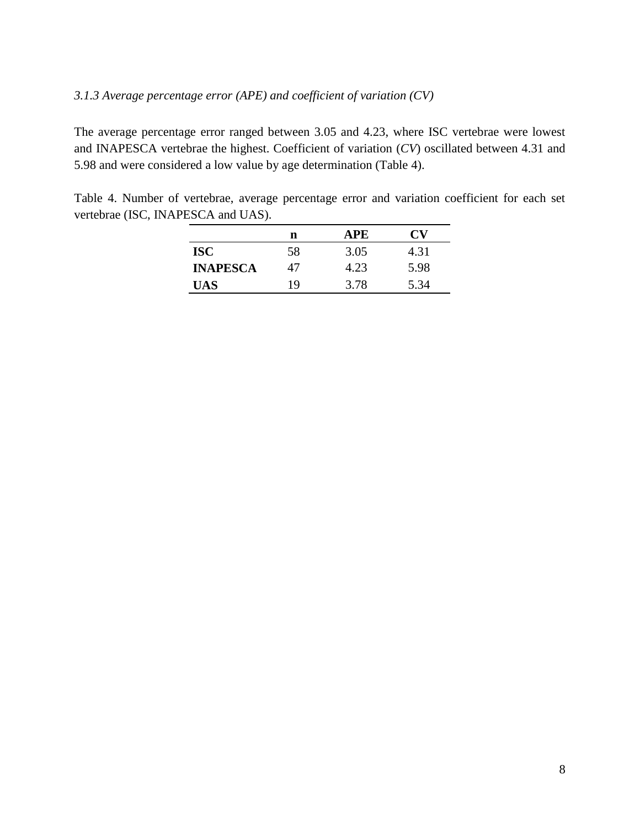## <span id="page-9-0"></span>*3.1.3 Average percentage error (APE) and coefficient of variation (CV)*

The average percentage error ranged between 3.05 and 4.23, where ISC vertebrae were lowest and INAPESCA vertebrae the highest. Coefficient of variation (*CV*) oscillated between 4.31 and 5.98 and were considered a low value by age determination (Table 4).

Table 4. Number of vertebrae, average percentage error and variation coefficient for each set vertebrae (ISC, INAPESCA and UAS).

|                 | n  | APE  | U'V  |
|-----------------|----|------|------|
| ISC             | 58 | 3.05 | 4.31 |
| <b>INAPESCA</b> | 47 | 4.23 | 5.98 |
| UAS             | 19 | 3.78 | 5.34 |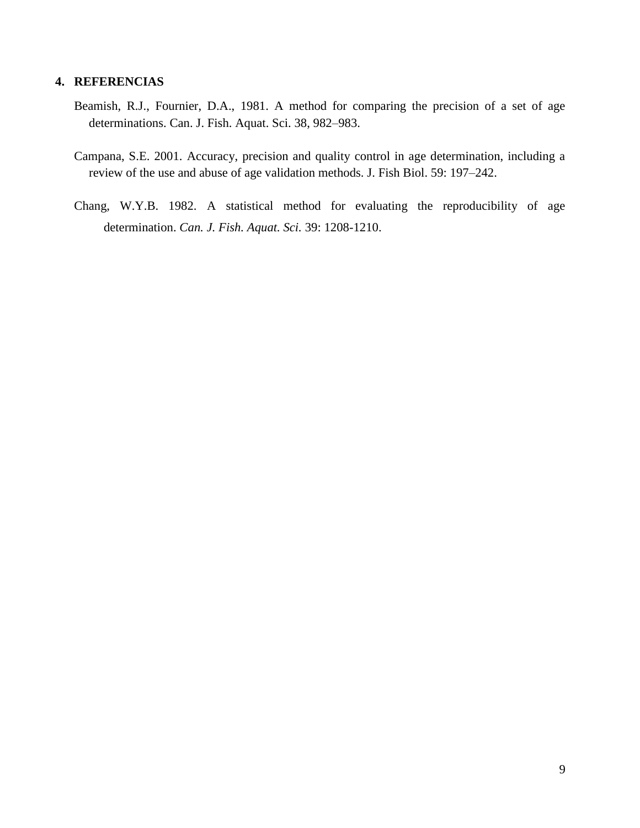### <span id="page-10-0"></span>**4. REFERENCIAS**

- Beamish, R.J., Fournier, D.A., 1981. A method for comparing the precision of a set of age determinations. Can. J. Fish. Aquat. Sci. 38, 982–983.
- Campana, S.E. 2001. Accuracy, precision and quality control in age determination, including a review of the use and abuse of age validation methods. J. Fish Biol. 59: 197–242.
- Chang, W.Y.B. 1982. A statistical method for evaluating the reproducibility of age determination. *Can. J. Fish. Aquat. Sci.* 39: 1208-1210.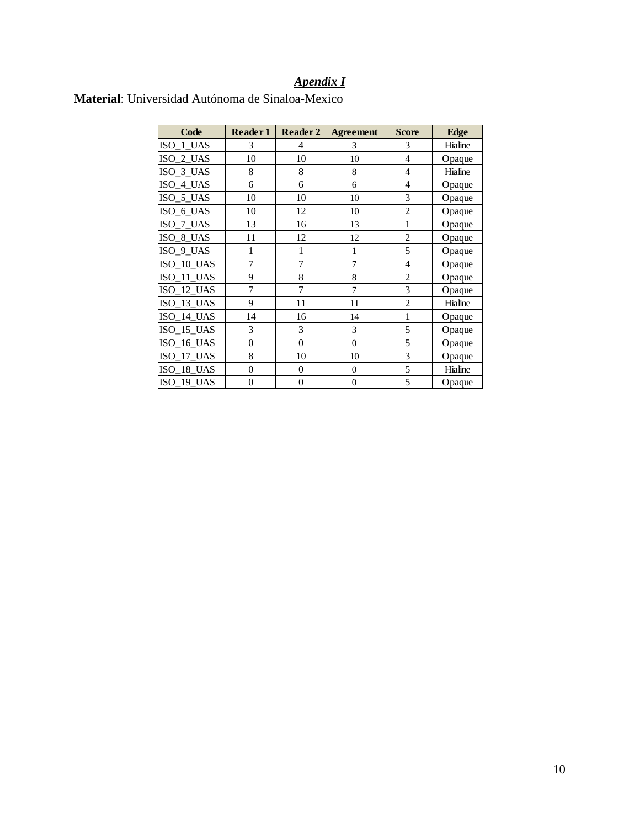# *Apendix I*

| Code         | Reader 1         | Reader 2         | <b>Agreement</b> | <b>Score</b>   | <b>Edge</b> |
|--------------|------------------|------------------|------------------|----------------|-------------|
| ISO 1 UAS    | 3                | 4                | 3                | 3              | Hialine     |
| ISO_2_UAS    | 10               | 10               | 10               | $\overline{4}$ | Opaque      |
| ISO 3 UAS    | 8                | 8                | 8                | $\overline{4}$ | Hialine     |
| ISO_4_UAS    | 6                | 6                | 6                | $\overline{4}$ | Opaque      |
| ISO_5_UAS    | 10               | 10               | 10               | 3              | Opaque      |
| ISO_6_UAS    | 10               | 12               | 10               | $\overline{2}$ | Opaque      |
| ISO_7_UAS    | 13               | 16               | 13               | 1              | Opaque      |
| ISO_8_UAS    | 11               | 12               | 12               | $\overline{2}$ | Opaque      |
| ISO_9_UAS    | 1                | 1                | 1                | 5              | Opaque      |
| ISO 10 UAS   | 7                | 7                | 7                | $\overline{4}$ | Opaque      |
| ISO_11_UAS   | 9                | 8                | 8                | $\overline{2}$ | Opaque      |
| ISO_12_UAS   | 7                | 7                | 7                | 3              | Opaque      |
| ISO_13_UAS   | 9                | 11               | 11               | $\overline{2}$ | Hialine     |
| ISO_14_UAS   | 14               | 16               | 14               | $\mathbf{1}$   | Opaque      |
| ISO_15_UAS   | 3                | 3                | 3                | 5              | Opaque      |
| ISO_16_UAS   | $\boldsymbol{0}$ | $\mathbf{0}$     | $\overline{0}$   | 5              | Opaque      |
| $ISO_17_UAS$ | 8                | 10               | 10               | 3              | Opaque      |
| ISO_18_UAS   | $\boldsymbol{0}$ | $\boldsymbol{0}$ | $\boldsymbol{0}$ | 5              | Hialine     |
| ISO 19 UAS   | $\boldsymbol{0}$ | $\boldsymbol{0}$ | $\boldsymbol{0}$ | 5              | Opaque      |

# <span id="page-11-0"></span>**Material**: Universidad Autónoma de Sinaloa-Mexico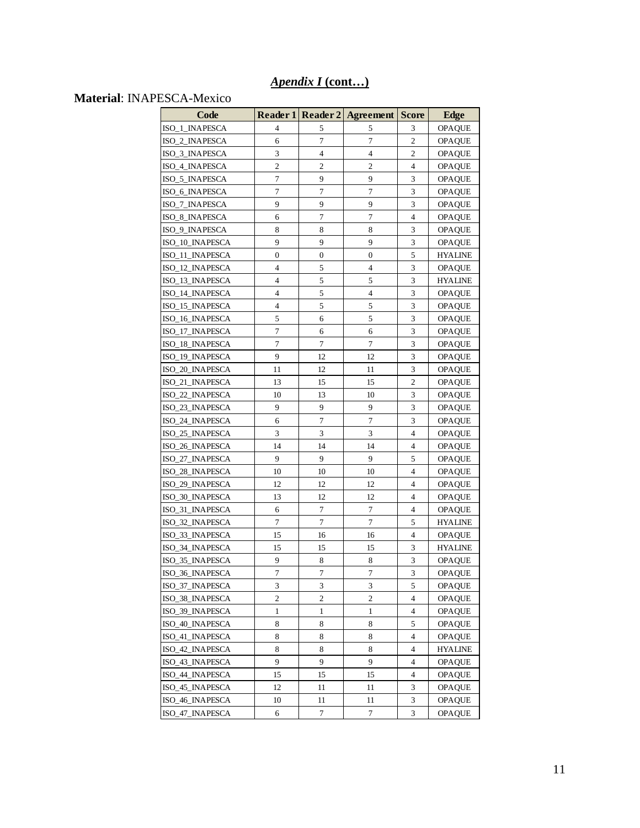# *Apendix I* **(cont…)**

# **Material**: INAPESCA-Mexico

| Code            |                  |                  | Reader 1 Reader 2 Agreement | <b>Score</b>                | <b>Edge</b>    |
|-----------------|------------------|------------------|-----------------------------|-----------------------------|----------------|
| ISO_1_INAPESCA  | 4                | 5                | 5                           | 3                           | <b>OPAQUE</b>  |
| ISO_2_INAPESCA  | 6                | $\overline{7}$   | $\overline{7}$              | $\overline{2}$              | <b>OPAQUE</b>  |
| ISO_3_INAPESCA  | 3                | $\overline{4}$   | $\overline{4}$              | 2                           | <b>OPAQUE</b>  |
| ISO_4_INAPESCA  | $\overline{2}$   | $\overline{2}$   | 2                           | 4                           | <b>OPAQUE</b>  |
| ISO_5_INAPESCA  | 7                | 9                | 9                           | 3                           | <b>OPAQUE</b>  |
| ISO_6_INAPESCA  | 7                | 7                | 7                           | 3                           | <b>OPAQUE</b>  |
| ISO_7_INAPESCA  | 9                | 9                | 9                           | 3                           | OPAQUE         |
| ISO_8_INAPESCA  | 6                | 7                | 7                           | 4                           | <b>OPAQUE</b>  |
| ISO_9_INAPESCA  | 8                | 8                | 8                           | 3                           | <b>OPAQUE</b>  |
| ISO_10_INAPESCA | 9                | 9                | 9                           | 3                           | <b>OPAQUE</b>  |
| ISO_11_INAPESCA | 0                | $\boldsymbol{0}$ | $\boldsymbol{0}$            | 5                           | HYALINE        |
| ISO_12_INAPESCA | 4                | 5                | 4                           | 3                           | OPAQUE         |
| ISO_13_INAPESCA | 4                | 5                | 5                           | 3                           | HYALINE        |
| ISO_14_INAPESCA | 4                | 5                | 4                           | 3                           | <b>OPAQUE</b>  |
| ISO_15_INAPESCA | 4                | 5                | 5                           | 3                           | <b>OPAQUE</b>  |
| ISO_16_INAPESCA | 5                | 6                | 5                           | 3                           | <b>OPAQUE</b>  |
| ISO 17 INAPESCA | 7                | 6                | 6                           | 3                           | <b>OPAQUE</b>  |
| ISO_18_INAPESCA | 7                | $\tau$           | 7                           | 3                           | <b>OPAQUE</b>  |
| ISO_19_INAPESCA | 9                | 12               | 12                          | 3                           | <b>OPAQUE</b>  |
| ISO_20_INAPESCA | 11               | 12               | 11                          | 3                           | <b>OPAQUE</b>  |
| ISO_21_INAPESCA | 13               | 15               | 15                          | $\mathfrak{2}$              | <b>OPAQUE</b>  |
| ISO_22_INAPESCA | 10               | 13               | 10                          | 3                           | OPAQUE         |
| ISO_23_INAPESCA | 9                | 9                | 9                           | 3                           | <b>OPAQUE</b>  |
| ISO_24_INAPESCA | 6                | 7                | 7                           | 3                           | <b>OPAQUE</b>  |
| ISO_25_INAPESCA | 3                | 3                | 3                           | 4                           | <b>OPAQUE</b>  |
| ISO_26_INAPESCA | 14               | 14               | 14                          | 4                           | <b>OPAQUE</b>  |
| ISO_27_INAPESCA | 9                | 9                | 9                           | 5                           | <b>OPAQUE</b>  |
| ISO_28_INAPESCA | 10               | 10               | 10                          | 4                           | <b>OPAQUE</b>  |
| ISO_29_INAPESCA | 12               | 12               | 12                          | 4                           | <b>OPAQUE</b>  |
| ISO_30_INAPESCA | 13               | 12               | 12                          | 4                           | <b>OPAQUE</b>  |
| ISO_31_INAPESCA | 6                | 7                | 7                           | 4                           | <b>OPAQUE</b>  |
| ISO 32 INAPESCA | 7                | 7                | 7                           | 5                           | <b>HYALINE</b> |
| ISO_33_INAPESCA | 15               | 16               | 16                          | 4                           | <b>OPAQUE</b>  |
| ISO_34_INAPESCA | 15               | 15               | 15                          | 3                           | <b>HYALINE</b> |
| ISO_35_INAPESCA | 9                | 8                | 8                           | 3                           | OPAQUE         |
| ISO_36_INAPESCA | $\boldsymbol{7}$ | $\boldsymbol{7}$ | $\tau$                      | 3                           | OPAQUE         |
| ISO_37_INAPESCA | 3                | 3                | 3                           | 5                           | <b>OPAQUE</b>  |
| ISO_38_INAPESCA | $\overline{c}$   | $\overline{2}$   | $\overline{c}$              | $\overline{\mathbf{4}}$     | <b>OPAQUE</b>  |
| ISO_39_INAPESCA | 1                | 1                | 1                           | $\overline{4}$              | <b>OPAQUE</b>  |
| ISO_40_INAPESCA | 8                | 8                | 8                           | 5                           | <b>OPAQUE</b>  |
| ISO 41 INAPESCA | 8                | 8                | 8                           | 4                           | <b>OPAQUE</b>  |
| ISO_42_INAPESCA | 8                | 8                | 8                           | 4                           | <b>HYALINE</b> |
| ISO_43_INAPESCA | 9                | 9                | 9                           | 4                           | <b>OPAQUE</b>  |
| ISO_44_INAPESCA | 15               | 15               | 15                          | 4                           | <b>OPAQUE</b>  |
| ISO_45_INAPESCA | 12               | 11               | 11                          | $\ensuremath{\mathfrak{Z}}$ | <b>OPAQUE</b>  |
| ISO_46_INAPESCA | 10               | 11               | 11                          | 3                           | <b>OPAQUE</b>  |
| ISO_47_INAPESCA | 6                | $\tau$           | 7                           | 3                           | <b>OPAQUE</b>  |